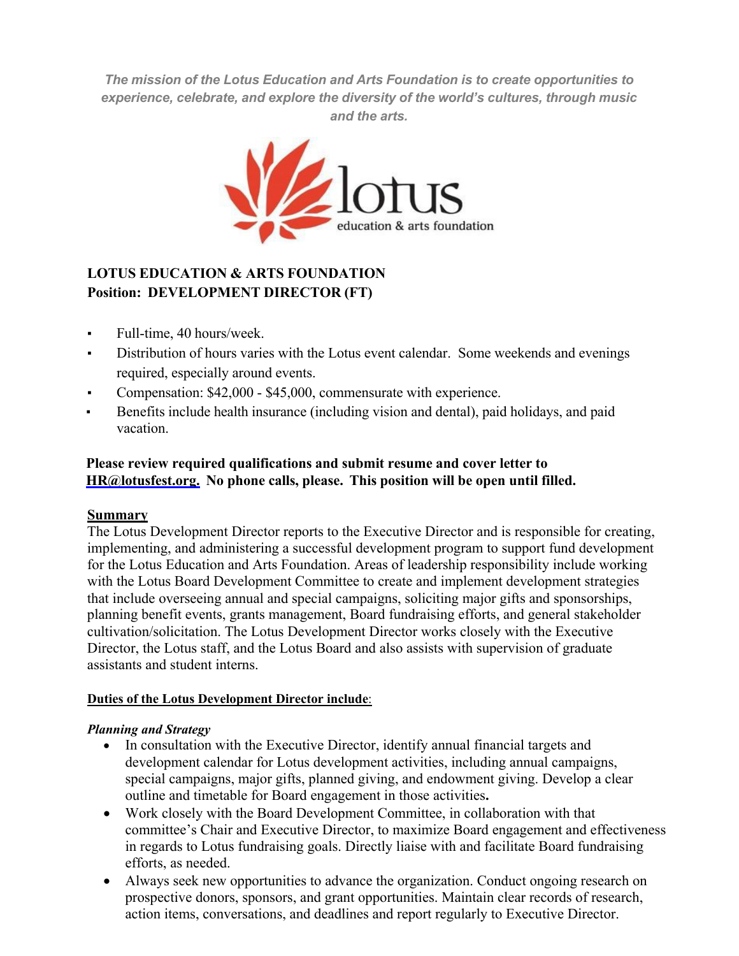*The mission of the Lotus Education and Arts Foundation is to create opportunities to experience, celebrate, and explore the diversity of the world's cultures, through music and the arts.*



# **LOTUS EDUCATION & ARTS FOUNDATION Position: DEVELOPMENT DIRECTOR (FT)**

- Full-time, 40 hours/week.
- Distribution of hours varies with the Lotus event calendar. Some weekends and evenings required, especially around events.
- Compensation: \$42,000 \$45,000, commensurate with experience.
- Benefits include health insurance (including vision and dental), paid holidays, and paid vacation.

## **Please review required qualifications and submit resume and cover letter to HR@lotusfest.org. No phone calls, please. This position will be open until filled.**

#### **Summary**

The Lotus Development Director reports to the Executive Director and is responsible for creating, implementing, and administering a successful development program to support fund development for the Lotus Education and Arts Foundation. Areas of leadership responsibility include working with the Lotus Board Development Committee to create and implement development strategies that include overseeing annual and special campaigns, soliciting major gifts and sponsorships, planning benefit events, grants management, Board fundraising efforts, and general stakeholder cultivation/solicitation. The Lotus Development Director works closely with the Executive Director, the Lotus staff, and the Lotus Board and also assists with supervision of graduate assistants and student interns.

#### **Duties of the Lotus Development Director include**:

#### *Planning and Strategy*

- In consultation with the Executive Director, identify annual financial targets and development calendar for Lotus development activities, including annual campaigns, special campaigns, major gifts, planned giving, and endowment giving. Develop a clear outline and timetable for Board engagement in those activities**.**
- Work closely with the Board Development Committee, in collaboration with that committee's Chair and Executive Director, to maximize Board engagement and effectiveness in regards to Lotus fundraising goals. Directly liaise with and facilitate Board fundraising efforts, as needed.
- Always seek new opportunities to advance the organization. Conduct ongoing research on prospective donors, sponsors, and grant opportunities. Maintain clear records of research, action items, conversations, and deadlines and report regularly to Executive Director.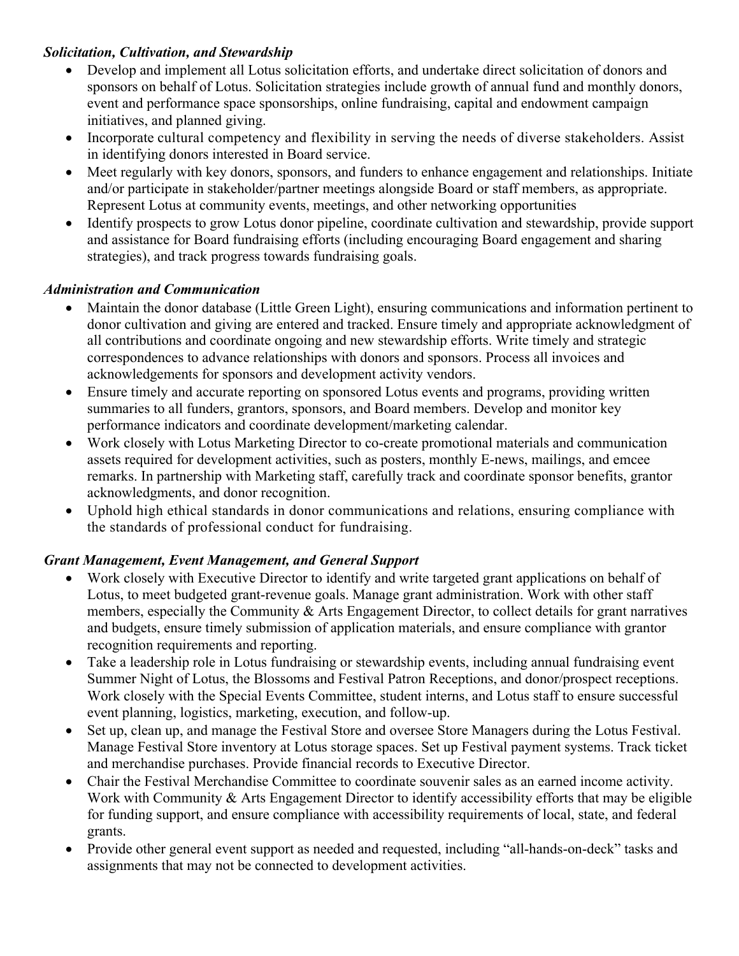### *Solicitation, Cultivation, and Stewardship*

- Develop and implement all Lotus solicitation efforts, and undertake direct solicitation of donors and sponsors on behalf of Lotus. Solicitation strategies include growth of annual fund and monthly donors, event and performance space sponsorships, online fundraising, capital and endowment campaign initiatives, and planned giving.
- Incorporate cultural competency and flexibility in serving the needs of diverse stakeholders. Assist in identifying donors interested in Board service.
- Meet regularly with key donors, sponsors, and funders to enhance engagement and relationships. Initiate and/or participate in stakeholder/partner meetings alongside Board or staff members, as appropriate. Represent Lotus at community events, meetings, and other networking opportunities
- Identify prospects to grow Lotus donor pipeline, coordinate cultivation and stewardship, provide support and assistance for Board fundraising efforts (including encouraging Board engagement and sharing strategies), and track progress towards fundraising goals.

### *Administration and Communication*

- Maintain the donor database (Little Green Light), ensuring communications and information pertinent to donor cultivation and giving are entered and tracked. Ensure timely and appropriate acknowledgment of all contributions and coordinate ongoing and new stewardship efforts. Write timely and strategic correspondences to advance relationships with donors and sponsors. Process all invoices and acknowledgements for sponsors and development activity vendors.
- Ensure timely and accurate reporting on sponsored Lotus events and programs, providing written summaries to all funders, grantors, sponsors, and Board members. Develop and monitor key performance indicators and coordinate development/marketing calendar.
- Work closely with Lotus Marketing Director to co-create promotional materials and communication assets required for development activities, such as posters, monthly E-news, mailings, and emcee remarks. In partnership with Marketing staff, carefully track and coordinate sponsor benefits, grantor acknowledgments, and donor recognition.
- Uphold high ethical standards in donor communications and relations, ensuring compliance with the standards of professional conduct for fundraising.

## *Grant Management, Event Management, and General Support*

- Work closely with Executive Director to identify and write targeted grant applications on behalf of Lotus, to meet budgeted grant-revenue goals. Manage grant administration. Work with other staff members, especially the Community & Arts Engagement Director, to collect details for grant narratives and budgets, ensure timely submission of application materials, and ensure compliance with grantor recognition requirements and reporting.
- Take a leadership role in Lotus fundraising or stewardship events, including annual fundraising event Summer Night of Lotus, the Blossoms and Festival Patron Receptions, and donor/prospect receptions. Work closely with the Special Events Committee, student interns, and Lotus staff to ensure successful event planning, logistics, marketing, execution, and follow-up.
- Set up, clean up, and manage the Festival Store and oversee Store Managers during the Lotus Festival. Manage Festival Store inventory at Lotus storage spaces. Set up Festival payment systems. Track ticket and merchandise purchases. Provide financial records to Executive Director.
- Chair the Festival Merchandise Committee to coordinate souvenir sales as an earned income activity. Work with Community & Arts Engagement Director to identify accessibility efforts that may be eligible for funding support, and ensure compliance with accessibility requirements of local, state, and federal grants.
- Provide other general event support as needed and requested, including "all-hands-on-deck" tasks and assignments that may not be connected to development activities.